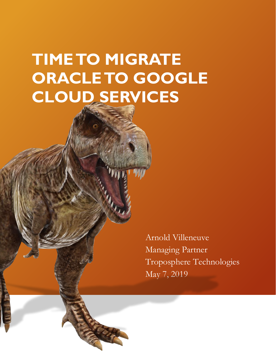# **TIME TO MIGRATE ORACLE TO GOOGLE CLOUD SERVICES**

Arnold Villeneuve Managing Partner Troposphere Technologies May 7, 2019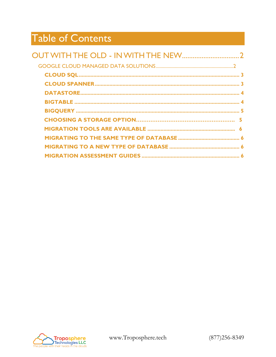# **Table of Contents**

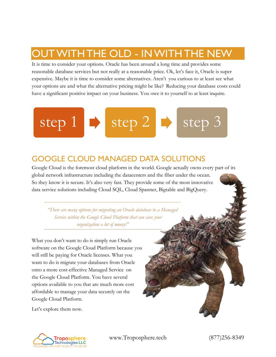# <span id="page-2-0"></span>OUT WITH THE OLD - IN WITH THE NEW

It is time to consider your options. Oracle has been around a long time and provides some reasonable database services but not really at a reasonable price. Ok, let's face it, Oracle is super expensive. Maybe it is time to consider some alternatives. Aren't you curious to at least see what your options are and what the alternative pricing might be like? Reducing your database costs could have a significant positive impact on your business. You owe it to yourself to at least inquire.

## <span id="page-2-1"></span>GOOGLE CLOUD MANAGED DATA SOLUTIONS

Google Cloud is the foremost cloud platform in the world. Google actually owns every part of its global network infrastructure including the datacenters and the fiber under the ocean. So they know it is secure. It's also very fast. They provide some of the most innovative data service solutions including Cloud SQL, Cloud Spanner, Bigtable and BigQuery.

step 1 step 2 step 3

*"There are many options for migrating an Oracle database to a Managed Service within the Google Cloud Platform that can save your organization a lot of money!"*

What you don't want to do is simply run Oracle software on the Google Cloud Platform because you will still be paying for Oracle licenses. What you want to do is migrate your databases from Oracle onto a more cost-effective Managed Service on the Google Cloud Platform. You have several options available to you that are much more cost affordable to manage your data securely on the Google Cloud Platform.

Let's explore them now.

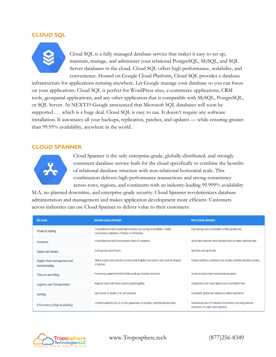#### <span id="page-3-0"></span>**CLOUD SQL**



Cloud SQL is a fully managed database service that makes it easy to set up, maintain, manage, and administer your relational PostgreSQL, MySQL, and SQL Server databases in the cloud. Cloud SQL offers high performance, scalability, and convenience. Hosted on Google Cloud Platform, Cloud SQL provides a database

infrastructure for applications running anywhere. Let Google manage your database so you can focus on your applications. Cloud SQL is perfect for WordPress sites, e-commerce applications, CRM tools, geospatial applications, and any other application that is compatible with MySQL, PostgreSQL, or SQL Server. At NEXT19 Google announced that Microsoft SQL databases will soon be supported . . . which is a huge deal. Cloud SQL is easy to use. It doesn't require any software installation. It automates all your backups, replication, patches, and updates — while ensuring greater than 99.95% availability, anywhere in the world.

#### <span id="page-3-1"></span>**CLOUD SPANNER**



Cloud Spanner is the only enterprise-grade, globally-distributed, and strongly consistent database service built for the cloud specifically to combine the benefits of relational database structure with non-relational horizontal scale. This combination delivers high-performance transactions and strong consistency across rows, regions, and continents with an industry-leading 99.999% availability

SLA, no planned downtime, and enterprise-grade security. Cloud Spanner revolutionizes database administration and management and makes application development more efficient. Customers across industries can use Cloud Spanner to deliver value to their customers:

| <b>USE CASE</b>                              | <b>BEFORE CLOUD SPANNER</b>                                                                                                         | <b>WITH CLOUD SPANNER</b>                                                                         |
|----------------------------------------------|-------------------------------------------------------------------------------------------------------------------------------------|---------------------------------------------------------------------------------------------------|
| <b>Financial trading</b>                     | Inconsistencies lead to potential monetary loss during reconciliation. Global<br>synchronous replication of trades is not feasible. | Cost savings and a consistent, unified, global view.                                              |
| Insurance                                    | Inconsistencies lead to incomplete views of customers.                                                                              | Up-to-date customer views provide more accurate, real-time data.                                  |
| Global call centers                          | Eventual and out-of-touch.                                                                                                          | Real-time and up-to-date.                                                                         |
| Supply-chain management and<br>manufacturing | Global supply chain presents an inconsistent global view and/or data must be shipped<br>in batches.                                 | Global, real-time, consistent view enables real-time decision making.                             |
| <b>Telecom and billing</b>                   | Processing capacity limited to finite scale-up compute resources.                                                                   | Scale-out allows improved processing speed.                                                       |
| <b>Logistics and Transportation</b>          | Regional reach with many systems glued together.                                                                                    | Global reach with lower latency and a consistent view.                                            |
| Gaming                                       | Each server or cluster is its own universe.                                                                                         | Consistent, global view delivers a unified experience.                                            |
| E-Commerce (High Availability)               | Limited availability SLA or no SLA guarantees. In practice, potential missed sales.                                                 | Guaranteed max of 5 minutes of downtime (including planned<br>downtime) on paper and in practice. |

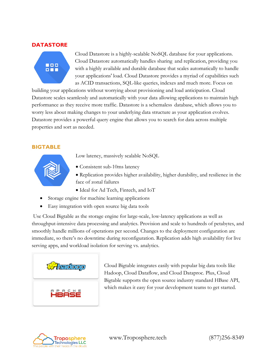#### <span id="page-4-0"></span>**DATASTORE**



Cloud Datastore is a highly-scalable NoSQL database for your applications. Cloud Datastore automatically handles sharing and replication, providing you with a highly available and durable database that scales automatically to handle your applications' load. Cloud Datastore provides a myriad of capabilities such as ACID transactions, SQL-like queries, indexes and much more. Focus on

building your applications without worrying about provisioning and load anticipation. Cloud Datastore scales seamlessly and automatically with your data allowing applications to maintain high performance as they receive more traffic. Datastore is a schemaless database, which allows you to worry less about making changes to your underlying data structure as your application evolves. Datastore provides a powerful query engine that allows you to search for data across multiple properties and sort as needed.

#### <span id="page-4-1"></span>**BIGTABLE**



Low latency, massively scalable NoSQL

- Consistent sub-10ms latency
- Replication provides higher availability, higher durability, and resilience in the face of zonal failures
- Ideal for Ad Tech, Fintech, and IoT
- Storage engine for machine learning applications
- Easy integration with open source big data tools

Use Cloud Bigtable as the storage engine for large-scale, low-latency applications as well as throughput-intensive data processing and analytics. Provision and scale to hundreds of petabytes, and smoothly handle millions of operations per second. Changes to the deployment configuration are immediate, so there's no downtime during reconfiguration. Replication adds high availability for live serving apps, and workload isolation for serving vs. analytics.



Cloud Bigtable integrates easily with popular big data tools like Hadoop, Cloud Dataflow, and Cloud Dataproc. Plus, Cloud Bigtable supports the open source industry standard HBase API, which makes it easy for your development teams to get started.

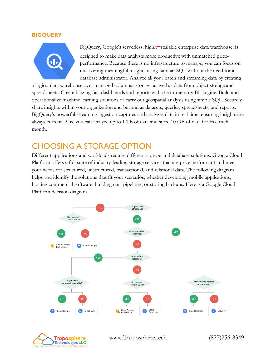#### <span id="page-5-0"></span>**BIGQUERY**



BigQuery, Google's serverless, highly**-**scalable enterprise data warehouse, is designed to make data analysts more productive with unmatched priceperformance. Because there is no infrastructure to manage, you can focus on uncovering meaningful insights using familiar SQL without the need for a database administrator. Analyze all your batch and streaming data by creating

a logical data warehouse over managed columnar storage, as well as data from object storage and spreadsheets. Create blazing-fast dashboards and reports with the in-memory BI Engine. Build and operationalize machine learning solutions or carry out geospatial analysis using simple SQL. Securely share insights within your organization and beyond as datasets, queries, spreadsheets, and reports. BigQuery's powerful streaming ingestion captures and analyzes data in real time, ensuring insights are always current. Plus, you can analyze up to 1 TB of data and store 10 GB of data for free each month.

### <span id="page-5-1"></span>CHOOSING A STORAGE OPTION

Different applications and workloads require different storage and database solutions. Google Cloud Platform offers a full suite of industry-leading storage services that are price performant and meet your needs for structured, unstructured, transactional, and relational data. The following diagram helps you identify the solutions that fit your scenarios, whether developing mobile applications, hosting commercial software, building data pipelines, or storing backups. Here is a Google Cloud Platform decision diagram.